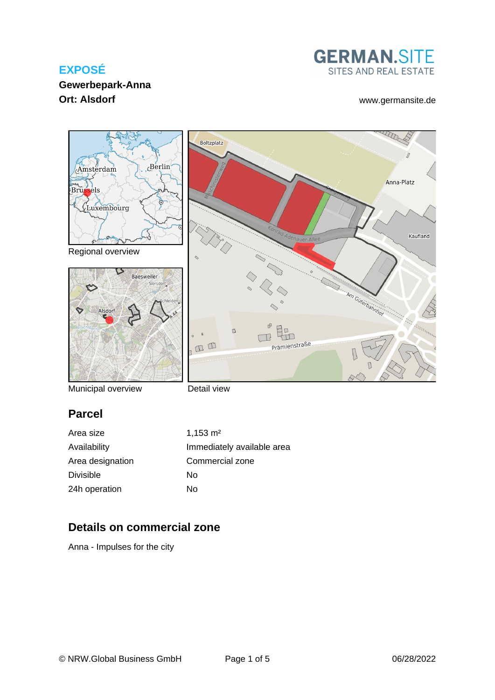#### **Gewerbepark-Anna Ort: Alsdorf** [www.germansite.de](http://www.germansite.de)





Municipal overview

Detail view

## **Parcel**

Area size 1,153 m<sup>2</sup> Availability **Immediately** available area Area designation Commercial zone Divisible No 24h operation No

## **Details on commercial zone**

Anna - Impulses for the city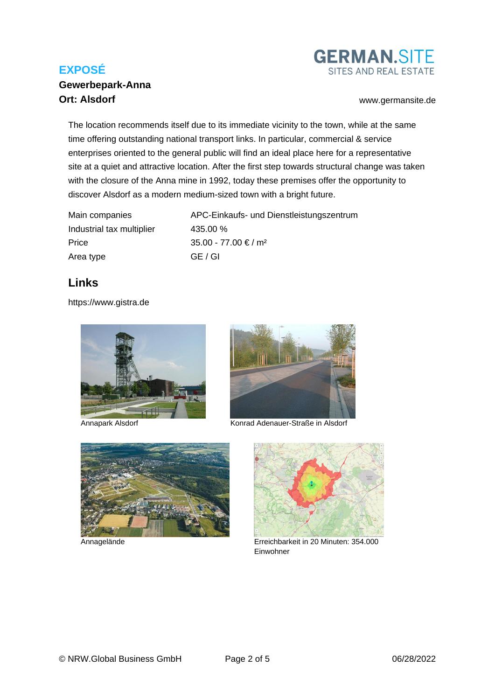#### **Gewerbepark-Anna Ort: Alsdorf** [www.germansite.de](http://www.germansite.de)



The location recommends itself due to its immediate vicinity to the town, while at the same time offering outstanding national transport links. In particular, commercial & service enterprises oriented to the general public will find an ideal place here for a representative site at a quiet and attractive location. After the first step towards structural change was taken with the closure of the Anna mine in 1992, today these premises offer the opportunity to discover Alsdorf as a modern medium-sized town with a bright future.

| Main companies            | APC-Einkaufs- und Dienstleistungszentrum |
|---------------------------|------------------------------------------|
| Industrial tax multiplier | 435.00 %                                 |
| Price                     | $35.00 - 77.00 \in / m^2$                |
| Area type                 | GE / GI                                  |

#### **Links**

<https://www.gistra.de>





Annapark Alsdorf Konrad Adenauer-Straße in Alsdorf



Annagelände



Erreichbarkeit in 20 Minuten: 354.000 Einwohner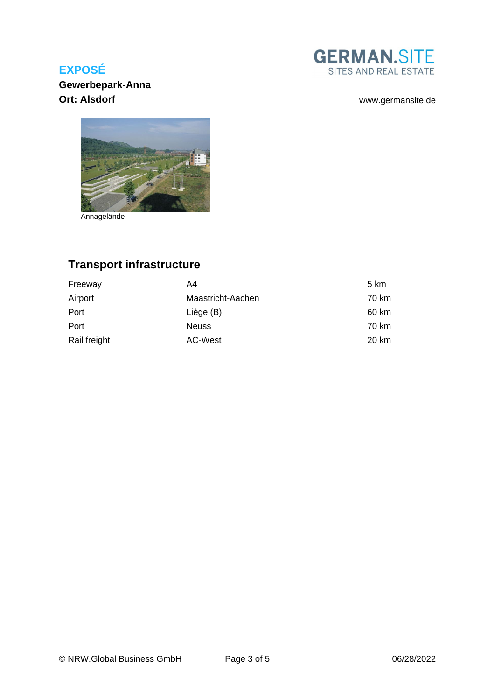**GERMAN.SITE** SITES AND REAL ESTATE

#### **Gew[erbepark-Anna](https://www.gistra.de/images/gistra_extranet/Photo/photo60703.jpg) Ort: Alsdorf** [www.germansite.de](http://www.germansite.de)



Annagelände

# **Transport infrastructure**

| Freeway      | A4                | 5 km  |
|--------------|-------------------|-------|
| Airport      | Maastricht-Aachen | 70 km |
| Port         | Liège (B)         | 60 km |
| Port         | <b>Neuss</b>      | 70 km |
| Rail freight | AC-West           | 20 km |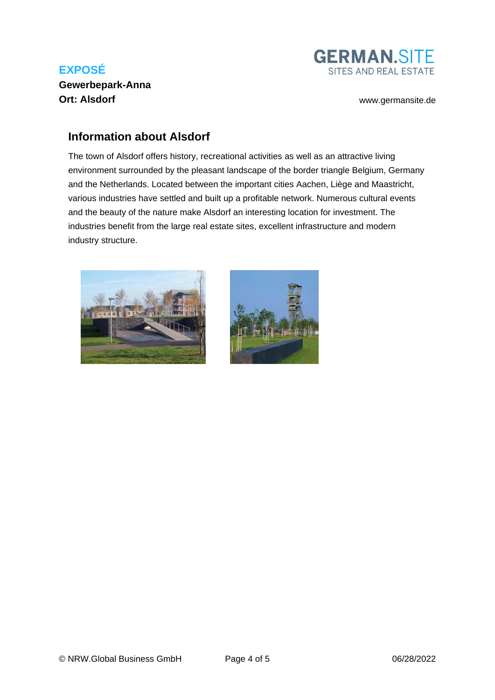## **EXPOSÉ Gewerbepark-Anna Ort: Alsdorf** [www.germansite.de](http://www.germansite.de)



#### **Information about Alsdorf**

The town of Alsdorf offers history, recreational activities as well as an attractive living environment surrounded by the pleasant landscape of the border triangle Belgium, Germany and the Netherlands. Located between the important cities Aachen, Liège and Maastricht, various industries have settled and built up a profitable network. Numerous cultural events and the beauty of the nature make Alsdorf an interesting location for investment. The industries benefit from the large real estate sites, excellent infrastructure and modern industry structure.